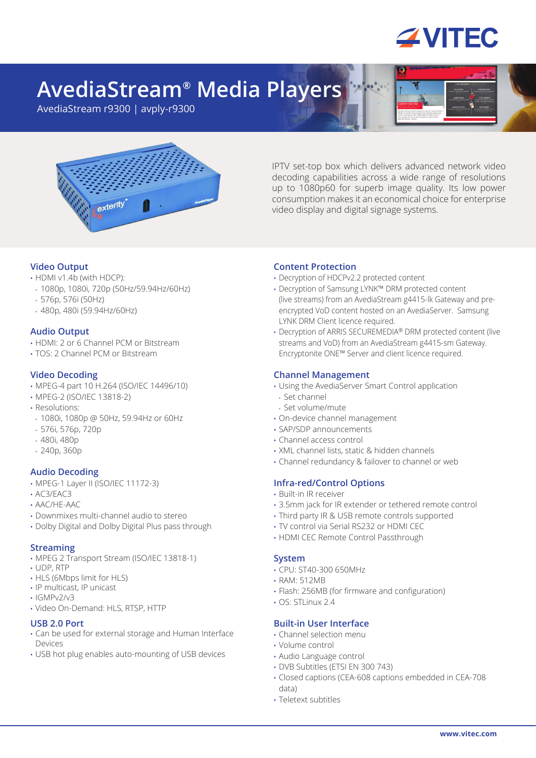

# **AvediaStream® Media Players**

AvediaStream r9300 | avply-r9300



IPTV set-top box which delivers advanced network video decoding capabilities across a wide range of resolutions up to 1080p60 for superb image quality. Its low power consumption makes it an economical choice for enterprise video display and digital signage systems.

# **Video Output**

- HDMI v1.4b (with HDCP):
- 1080p, 1080i, 720p (50Hz/59.94Hz/60Hz)
- 576p, 576i (50Hz)
- 480p, 480i (59.94Hz/60Hz)

# **Audio Output**

- HDMI: 2 or 6 Channel PCM or Bitstream
- TOS: 2 Channel PCM or Bitstream

# **Video Decoding**

- MPEG-4 part 10 H.264 (ISO/IEC 14496/10)
- MPEG-2 (ISO/IEC 13818-2)
- Resolutions:
- 1080i, 1080p @ 50Hz, 59.94Hz or 60Hz
- 576i, 576p, 720p
- 480i, 480p
- 240p, 360p

# **Audio Decoding**

- MPEG-1 Layer II (ISO/IEC 11172-3)
- AC3/EAC3
- AAC/HE-AAC
- Downmixes multi-channel audio to stereo
- Dolby Digital and Dolby Digital Plus pass through

# **Streaming**

- MPEG 2 Transport Stream (ISO/IEC 13818-1)
- UDP, RTP
- HLS (6Mbps limit for HLS)
- IP multicast, IP unicast
- IGMPv2/v3
- Video On-Demand: HLS, RTSP, HTTP

# **USB 2.0 Port**

- Can be used for external storage and Human Interface Devices
- USB hot plug enables auto-mounting of USB devices

# **Content Protection**

- Decryption of HDCPv2.2 protected content
- Decryption of Samsung LYNK™ DRM protected content (live streams) from an AvediaStream g4415-lk Gateway and preencrypted VoD content hosted on an AvediaServer. Samsung LYNK DRM Client licence required.
- Decryption of ARRIS SECUREMEDIA® DRM protected content (live streams and VoD) from an AvediaStream g4415-sm Gateway. Encryptonite ONE™ Server and client licence required.

# **Channel Management**

- Using the AvediaServer Smart Control application
- Set channel
- Set volume/mute
- On-device channel management
- SAP/SDP announcements
- Channel access control
- XML channel lists, static & hidden channels
- Channel redundancy & failover to channel or web

# **Infra-red/Control Options**

- Built-in IR receiver
- 3.5mm jack for IR extender or tethered remote control
- Third party IR & USB remote controls supported
- TV control via Serial RS232 or HDMI CEC
- HDMI CEC Remote Control Passthrough

# **System**

- CPU: ST40-300 650MHz
- RAM: 512MB
- Flash: 256MB (for firmware and configuration)
- $\cdot$  OS $\cdot$  STI inux 2.4

# **Built-in User Interface**

- Channel selection menu
- Volume control
- Audio Language control
- DVB Subtitles (ETSI EN 300 743)
- Closed captions (CEA-608 captions embedded in CEA-708 data)
- Teletext subtitles